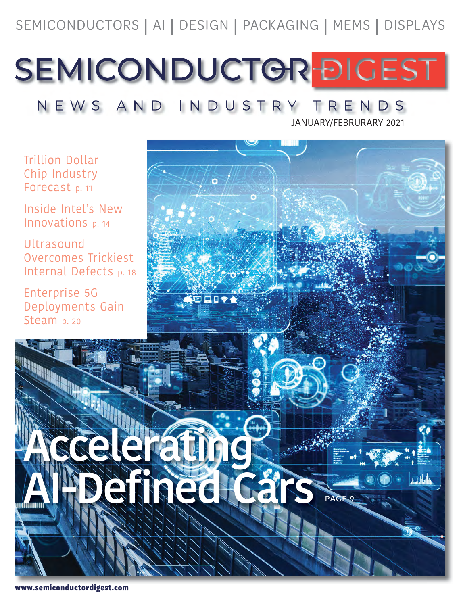SEMICONDUCTORS | AI | DESIGN | PACKAGING | MEMS | DISPLAYS

SEMICONDUCTOR DIGEST

NEWS AND INDUSTRY TRENDS

JANUARY/FEBRURARY 2021

Trillion Dollar Chip Industry Forecast p. 11

Inside Intel's New Innovations p. 14

Ultrasound Overcomes Trickiest Internal Defects p. 18

Enterprise 5G Deployments Gain Steam p. 20

**Accelerating AIREGE**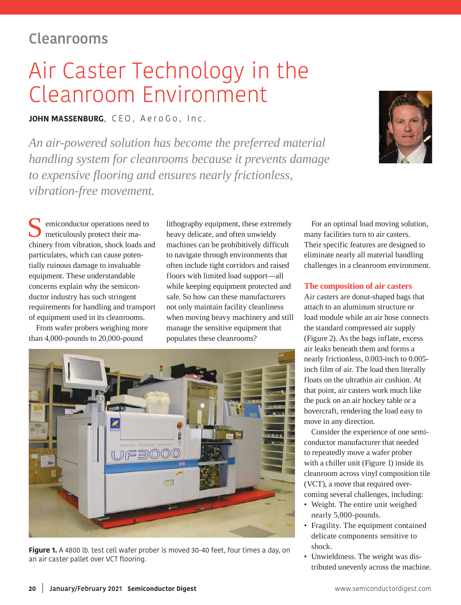## **Cleanrooms**

# Air Caster Technology in the Cleanroom Environment

**JOHN MASSENBURG**, CEO, AeroGo, Inc.

*An air-powered solution has become the preferred material handling system for cleanrooms because it prevents damage to expensive flooring and ensures nearly frictionless, vibration-free movement.*



emiconductor operations need to meticulously protect their machinery from vibration, shock loads and particulates, which can cause potentially ruinous damage to invaluable equipment. These understandable concerns explain why the semiconductor industry has such stringent requirements for handling and transport of equipment used in its cleanrooms.

From wafer probers weighing more than 4,000-pounds to 20,000-pound

lithography equipment, these extremely heavy delicate, and often unwieldy machines can be prohibitively difficult to navigate through environments that often include tight corridors and raised floors with limited load support—all while keeping equipment protected and safe. So how can these manufacturers not only maintain facility cleanliness when moving heavy machinery and still manage the sensitive equipment that populates these cleanrooms?



**Figure 1.** A 4800 lb. test cell wafer prober is moved 30-40 feet, four times a day, on an air caster pallet over VCT flooring.

For an optimal load moving solution, many facilities turn to air casters. Their specific features are designed to eliminate nearly all material handling challenges in a cleanroom environment.

#### **The composition of air casters**

Air casters are donut-shaped bags that attach to an aluminum structure or load module while an air hose connects the standard compressed air supply (Figure 2). As the bags inflate, excess air leaks beneath them and forms a nearly frictionless, 0.003-inch to 0.005 inch film of air. The load then literally floats on the ultrathin air cushion. At that point, air casters work much like the puck on an air hockey table or a hovercraft, rendering the load easy to move in any direction.

Consider the experience of one semiconductor manufacturer that needed to repeatedly move a wafer prober with a chiller unit (Figure 1) inside its cleanroom across vinyl composition tile (VCT), a move that required overcoming several challenges, including:

- Weight. The entire unit weighed nearly 5,000-pounds.
- Fragility. The equipment contained delicate components sensitive to shock.
- Unwieldiness. The weight was distributed unevenly across the machine.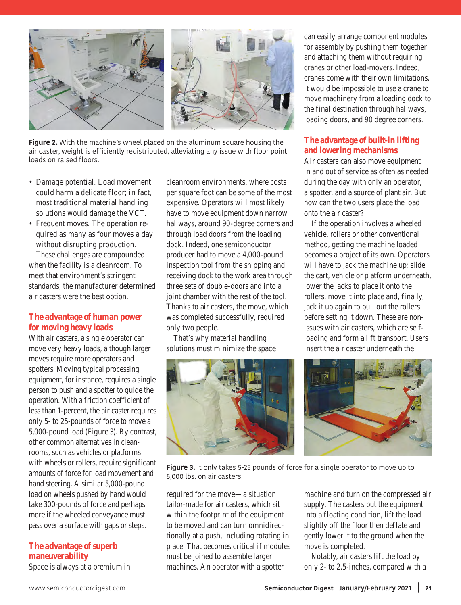

**Figure 2.** With the machine's wheel placed on the aluminum square housing the air caster, weight is efficiently redistributed, alleviating any issue with floor point loads on raised floors.

- Damage potential. Load movement could harm a delicate floor; in fact, most traditional material handling solutions would damage the VCT.
- Frequent moves. The operation required as many as four moves a day without disrupting production.

These challenges are compounded when the facility is a cleanroom. To meet that environment's stringent standards, the manufacturer determined air casters were the best option.

#### **The advantage of human power for moving heavy loads**

With air casters, a single operator can move very heavy loads, although larger moves require more operators and spotters. Moving typical processing equipment, for instance, requires a single person to push and a spotter to guide the operation. With a friction coefficient of less than 1-percent, the air caster requires only 5- to 25-pounds of force to move a 5,000-pound load (Figure 3). By contrast, other common alternatives in cleanrooms, such as vehicles or platforms with wheels or rollers, require significant amounts of force for load movement and hand steering. A similar 5,000-pound load on wheels pushed by hand would take 300-pounds of force and perhaps more if the wheeled conveyance must pass over a surface with gaps or steps.

### **The advantage of superb maneuverability**

Space is always at a premium in

cleanroom environments, where costs per square foot can be some of the most expensive. Operators will most likely have to move equipment down narrow hallways, around 90-degree corners and through load doors from the loading dock. Indeed, one semiconductor producer had to move a 4,000-pound inspection tool from the shipping and receiving dock to the work area through three sets of double-doors and into a joint chamber with the rest of the tool. Thanks to air casters, the move, which was completed successfully, required only two people.

That's why material handling solutions must minimize the space



can easily arrange component modules for assembly by pushing them together and attaching them without requiring cranes or other load-movers. Indeed, cranes come with their own limitations. It would be impossible to use a crane to move machinery from a loading dock to the final destination through hallways, loading doors, and 90 degree corners.

#### **The advantage of built-in lifting and lowering mechanisms**

Air casters can also move equipment in and out of service as often as needed during the day with only an operator, a spotter, and a source of plant air. But how can the two users place the load onto the air caster?

If the operation involves a wheeled vehicle, rollers or other conventional method, getting the machine loaded becomes a project of its own. Operators will have to jack the machine up; slide the cart, vehicle or platform underneath, lower the jacks to place it onto the rollers, move it into place and, finally, jack it up again to pull out the rollers before setting it down. These are nonissues with air casters, which are selfloading and form a lift transport. Users insert the air caster underneath the



**Figure 3.** It only takes 5-25 pounds of force for a single operator to move up to 5,000 lbs. on air casters.

required for the move—a situation tailor-made for air casters, which sit within the footprint of the equipment to be moved and can turn omnidirectionally at a push, including rotating in place. That becomes critical if modules must be joined to assemble larger machines. An operator with a spotter

machine and turn on the compressed air supply. The casters put the equipment into a floating condition, lift the load slightly off the floor then deflate and gently lower it to the ground when the move is completed.

Notably, air casters lift the load by only 2- to 2.5-inches, compared with a